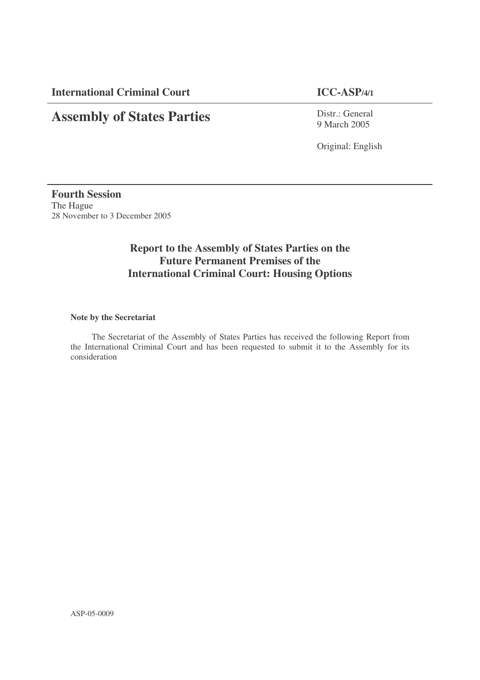**International Criminal Court ICC-ASP/4/1**

# **Assembly of States Parties**

Distr.: General 9 March 2005

Original: English

**Fourth Session** The Hague 28 November to 3 December 2005

# **Report to the Assembly of States Parties on the Future Permanent Premises of the International Criminal Court: Housing Options**

## **Note by the Secretariat**

The Secretariat of the Assembly of States Parties has received the following Report from the International Criminal Court and has been requested to submit it to the Assembly for its consideration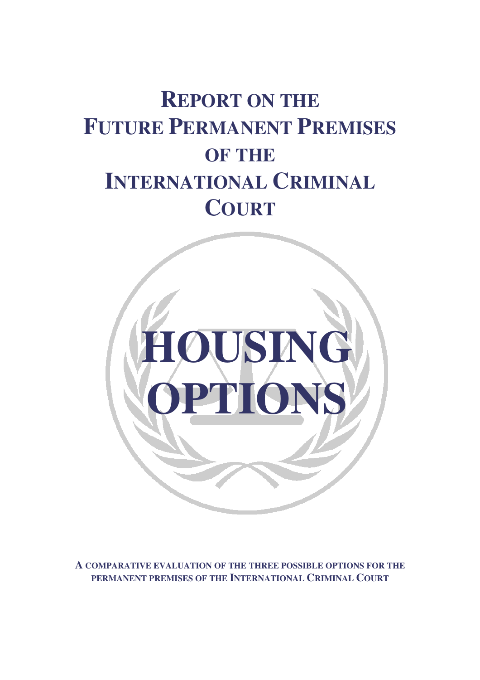# **REPORT ON THE FUTURE PERMANENT PREMISES OF THE INTERNATIONAL CRIMINAL COURT**



**A COMPARATIVE EVALUATION OF THE THREE POSSIBLE OPTIONS FOR THE PERMANENT PREMISES OF THE INTERNATIONAL CRIMINAL COURT**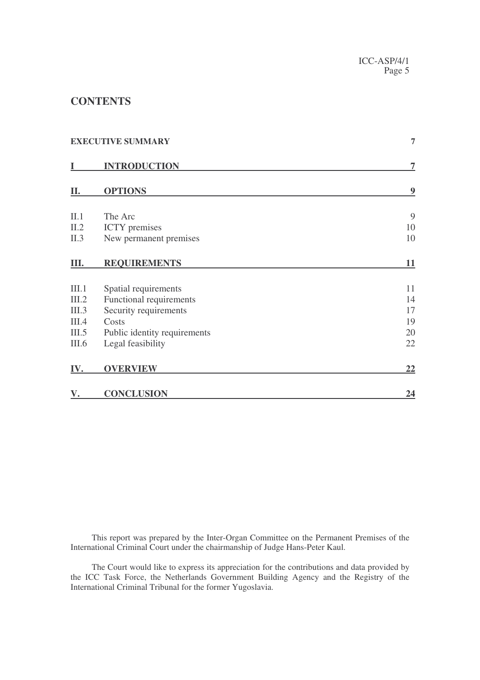# **CONTENTS**

|       | <b>EXECUTIVE SUMMARY</b>     | 7                       |
|-------|------------------------------|-------------------------|
| I     | <b>INTRODUCTION</b>          | 7                       |
| II.   | <b>OPTIONS</b>               | $\overline{\mathbf{9}}$ |
| II.1  | The Arc                      | 9                       |
| II.2  | <b>ICTY</b> premises         | 10                      |
| II.3  | New permanent premises       | 10                      |
| Ш.    | <b>REQUIREMENTS</b>          | 11                      |
| III.1 | Spatial requirements         | 11                      |
| III.2 | Functional requirements      | 14                      |
| III.3 | Security requirements        | 17                      |
| III.4 | Costs                        | 19                      |
| III.5 | Public identity requirements | 20                      |
| III.6 | Legal feasibility            | 22                      |
| IV.   | <b>OVERVIEW</b>              | 22                      |
| V.    | <b>CONCLUSION</b>            | 24                      |

This report was prepared by the Inter-Organ Committee on the Permanent Premises of the International Criminal Court under the chairmanship of Judge Hans-Peter Kaul.

The Court would like to express its appreciation for the contributions and data provided by the ICC Task Force, the Netherlands Government Building Agency and the Registry of the International Criminal Tribunal for the former Yugoslavia.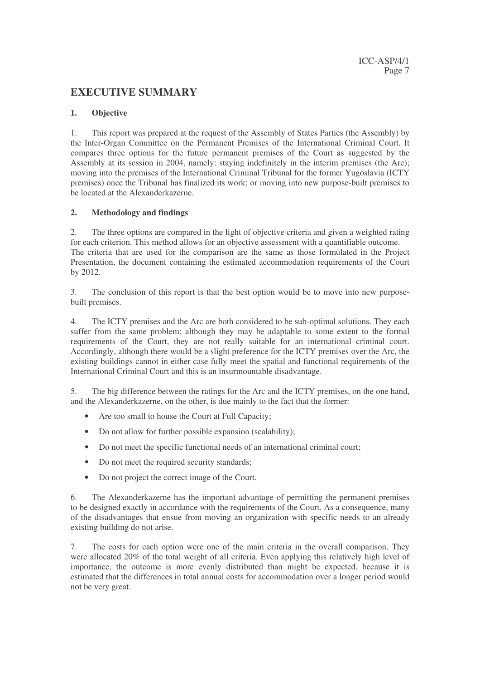# **EXECUTIVE SUMMARY**

## **1. Objective**

1. This report was prepared at the request of the Assembly of States Parties (the Assembly) by the Inter-Organ Committee on the Permanent Premises of the International Criminal Court. It compares three options for the future permanent premises of the Court as suggested by the Assembly at its session in 2004, namely: staying indefinitely in the interim premises (the Arc); moving into the premises of the International Criminal Tribunal for the former Yugoslavia (ICTY premises) once the Tribunal has finalized its work; or moving into new purpose-built premises to be located at the Alexanderkazerne.

# **2. Methodology and findings**

2. The three options are compared in the light of objective criteria and given a weighted rating for each criterion. This method allows for an objective assessment with a quantifiable outcome. The criteria that are used for the comparison are the same as those formulated in the Project Presentation, the document containing the estimated accommodation requirements of the Court by 2012.

3. The conclusion of this report is that the best option would be to move into new purposebuilt premises.

4. The ICTY premises and the Arc are both considered to be sub-optimal solutions. They each suffer from the same problem: although they may be adaptable to some extent to the formal requirements of the Court, they are not really suitable for an international criminal court. Accordingly, although there would be a slight preference for the ICTY premises over the Arc, the existing buildings cannot in either case fully meet the spatial and functional requirements of the International Criminal Court and this is an insurmountable disadvantage.

5. The big difference between the ratings for the Arc and the ICTY premises, on the one hand, and the Alexanderkazerne, on the other, is due mainly to the fact that the former:

- Are too small to house the Court at Full Capacity;
- Do not allow for further possible expansion (scalability);
- Do not meet the specific functional needs of an international criminal court;
- Do not meet the required security standards;
- Do not project the correct image of the Court.

6. The Alexanderkazerne has the important advantage of permitting the permanent premises to be designed exactly in accordance with the requirements of the Court. As a consequence, many of the disadvantages that ensue from moving an organization with specific needs to an already existing building do not arise.

7. The costs for each option were one of the main criteria in the overall comparison. They were allocated 20% of the total weight of all criteria. Even applying this relatively high level of importance, the outcome is more evenly distributed than might be expected, because it is estimated that the differences in total annual costs for accommodation over a longer period would not be very great.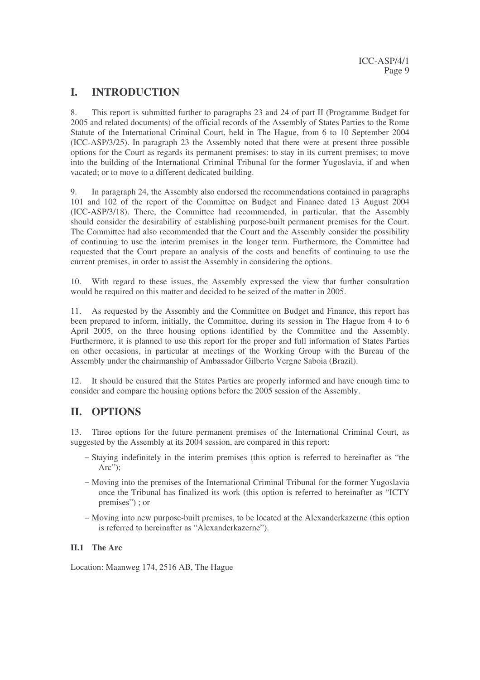# **I. INTRODUCTION**

8. This report is submitted further to paragraphs 23 and 24 of part II (Programme Budget for 2005 and related documents) of the official records of the Assembly of States Parties to the Rome Statute of the International Criminal Court, held in The Hague, from 6 to 10 September 2004 (ICC-ASP/3/25). In paragraph 23 the Assembly noted that there were at present three possible options for the Court as regards its permanent premises: to stay in its current premises; to move into the building of the International Criminal Tribunal for the former Yugoslavia, if and when vacated; or to move to a different dedicated building.

9. In paragraph 24, the Assembly also endorsed the recommendations contained in paragraphs 101 and 102 of the report of the Committee on Budget and Finance dated 13 August 2004 (ICC-ASP/3/18). There, the Committee had recommended, in particular, that the Assembly should consider the desirability of establishing purpose-built permanent premises for the Court. The Committee had also recommended that the Court and the Assembly consider the possibility of continuing to use the interim premises in the longer term. Furthermore, the Committee had requested that the Court prepare an analysis of the costs and benefits of continuing to use the current premises, in order to assist the Assembly in considering the options.

10. With regard to these issues, the Assembly expressed the view that further consultation would be required on this matter and decided to be seized of the matter in 2005.

11. As requested by the Assembly and the Committee on Budget and Finance, this report has been prepared to inform, initially, the Committee, during its session in The Hague from 4 to 6 April 2005, on the three housing options identified by the Committee and the Assembly. Furthermore, it is planned to use this report for the proper and full information of States Parties on other occasions, in particular at meetings of the Working Group with the Bureau of the Assembly under the chairmanship of Ambassador Gilberto Vergne Saboia (Brazil).

12. It should be ensured that the States Parties are properly informed and have enough time to consider and compare the housing options before the 2005 session of the Assembly.

# **II. OPTIONS**

13. Three options for the future permanent premises of the International Criminal Court, as suggested by the Assembly at its 2004 session, are compared in this report:

- − Staying indefinitely in the interim premises (this option is referred to hereinafter as "the Arc":
- − Moving into the premises of the International Criminal Tribunal for the former Yugoslavia once the Tribunal has finalized its work (this option is referred to hereinafter as "ICTY premises") ; or
- − Moving into new purpose-built premises, to be located at the Alexanderkazerne (this option is referred to hereinafter as "Alexanderkazerne").

# **II.1 The Arc**

Location: Maanweg 174, 2516 AB, The Hague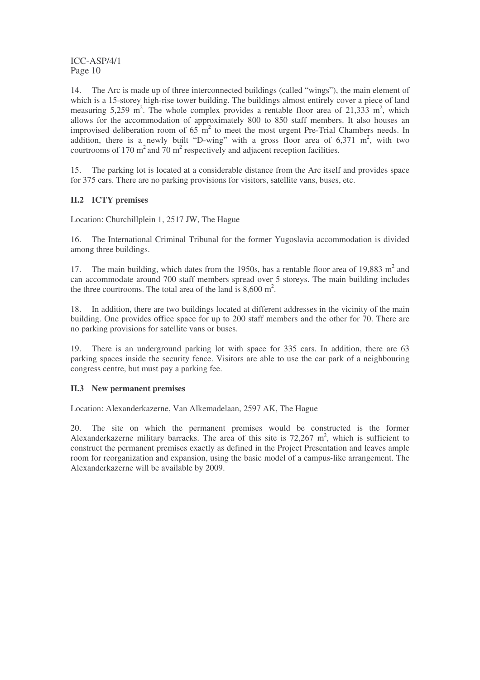14. The Arc is made up of three interconnected buildings (called "wings"), the main element of which is a 15-storey high-rise tower building. The buildings almost entirely cover a piece of land measuring 5,259 m<sup>2</sup>. The whole complex provides a rentable floor area of 21,333 m<sup>2</sup>, which allows for the accommodation of approximately 800 to 850 staff members. It also houses an improvised deliberation room of  $65 \text{ m}^2$  to meet the most urgent Pre-Trial Chambers needs. In addition, there is a newly built "D-wing" with a gross floor area of  $6,371 \text{ m}^2$ , with two courtrooms of 170  $m^2$  and 70  $m^2$  respectively and adjacent reception facilities.

15. The parking lot is located at a considerable distance from the Arc itself and provides space for 375 cars. There are no parking provisions for visitors, satellite vans, buses, etc.

# **II.2 ICTY premises**

Location: Churchillplein 1, 2517 JW, The Hague

16. The International Criminal Tribunal for the former Yugoslavia accommodation is divided among three buildings.

17. The main building, which dates from the 1950s, has a rentable floor area of 19,883  $m<sup>2</sup>$  and can accommodate around 700 staff members spread over 5 storeys. The main building includes the three courtrooms. The total area of the land is  $8,600 \text{ m}^2$ .

18. In addition, there are two buildings located at different addresses in the vicinity of the main building. One provides office space for up to 200 staff members and the other for 70. There are no parking provisions for satellite vans or buses.

19. There is an underground parking lot with space for 335 cars. In addition, there are 63 parking spaces inside the security fence. Visitors are able to use the car park of a neighbouring congress centre, but must pay a parking fee.

## **II.3 New permanent premises**

Location: Alexanderkazerne, Van Alkemadelaan, 2597 AK, The Hague

20. The site on which the permanent premises would be constructed is the former Alexanderkazerne military barracks. The area of this site is  $72,267$  m<sup>2</sup>, which is sufficient to construct the permanent premises exactly as defined in the Project Presentation and leaves ample room for reorganization and expansion, using the basic model of a campus-like arrangement. The Alexanderkazerne will be available by 2009.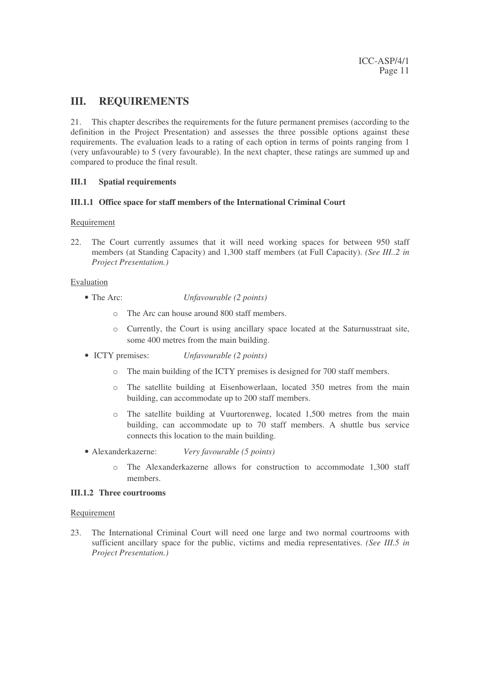# **III. REQUIREMENTS**

21. This chapter describes the requirements for the future permanent premises (according to the definition in the Project Presentation) and assesses the three possible options against these requirements. The evaluation leads to a rating of each option in terms of points ranging from 1 (very unfavourable) to 5 (very favourable). In the next chapter, these ratings are summed up and compared to produce the final result.

## **III.1 Spatial requirements**

#### **III.1.1 Office space for staff members of the International Criminal Court**

#### Requirement

22. The Court currently assumes that it will need working spaces for between 950 staff members (at Standing Capacity) and 1,300 staff members (at Full Capacity). *(See III..2 in Project Presentation.)*

#### Evaluation

- The Arc: *Unfavourable (2 points)*
	-
	- o The Arc can house around 800 staff members.
	- o Currently, the Court is using ancillary space located at the Saturnusstraat site, some 400 metres from the main building.
- ICTY premises: *Unfavourable (2 points)*
	- o The main building of the ICTY premises is designed for 700 staff members.
	- o The satellite building at Eisenhowerlaan, located 350 metres from the main building, can accommodate up to 200 staff members.
	- o The satellite building at Vuurtorenweg, located 1,500 metres from the main building, can accommodate up to 70 staff members. A shuttle bus service connects this location to the main building.
- Alexanderkazerne: *Very favourable (5 points)*
	- o The Alexanderkazerne allows for construction to accommodate 1,300 staff members.

#### **III.1.2 Three courtrooms**

#### Requirement

23. The International Criminal Court will need one large and two normal courtrooms with sufficient ancillary space for the public, victims and media representatives. *(See III.5 in Project Presentation.)*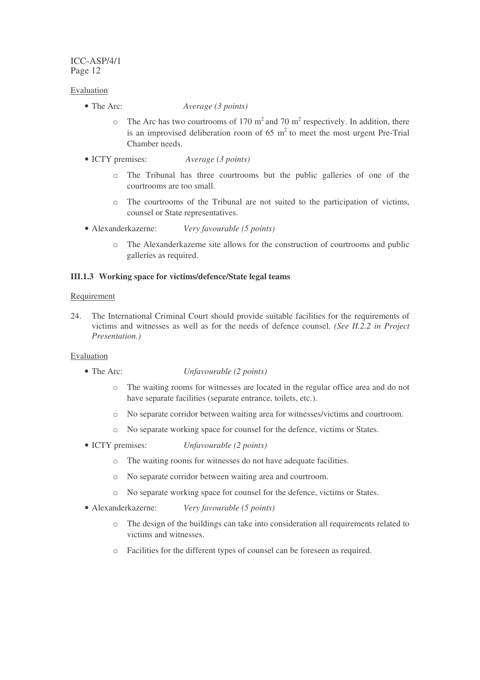## Evaluation

- 
- The Arc: *Average (3 points)*
	- $\circ$  The Arc has two courtrooms of 170 m<sup>2</sup> and 70 m<sup>2</sup> respectively. In addition, there is an improvised deliberation room of 65  $m<sup>2</sup>$  to meet the most urgent Pre-Trial Chamber needs.
- ICTY premises: *Average (3 points)*
	- o The Tribunal has three courtrooms but the public galleries of one of the courtrooms are too small.
	- o The courtrooms of the Tribunal are not suited to the participation of victims, counsel or State representatives.
- Alexanderkazerne: *Very favourable (5 points)*
	- o The Alexanderkazerne site allows for the construction of courtrooms and public galleries as required.

# **III.1.3 Working space for victims/defence/State legal teams**

# Requirement

24. The International Criminal Court should provide suitable facilities for the requirements of victims and witnesses as well as for the needs of defence counsel*. (See II.2.2 in Project Presentation.)*

- The Arc: *Unfavourable (2 points)*
	- o The waiting rooms for witnesses are located in the regular office area and do not have separate facilities (separate entrance, toilets, etc.).
	- o No separate corridor between waiting area for witnesses/victims and courtroom.
	- o No separate working space for counsel for the defence, victims or States.
- ICTY premises: *Unfavourable (2 points)*
	- o The waiting rooms for witnesses do not have adequate facilities.
	- o No separate corridor between waiting area and courtroom.
	- o No separate working space for counsel for the defence, victims or States.
- Alexanderkazerne: *Very favourable (5 points)*
	- o The design of the buildings can take into consideration all requirements related to victims and witnesses.
	- o Facilities for the different types of counsel can be foreseen as required.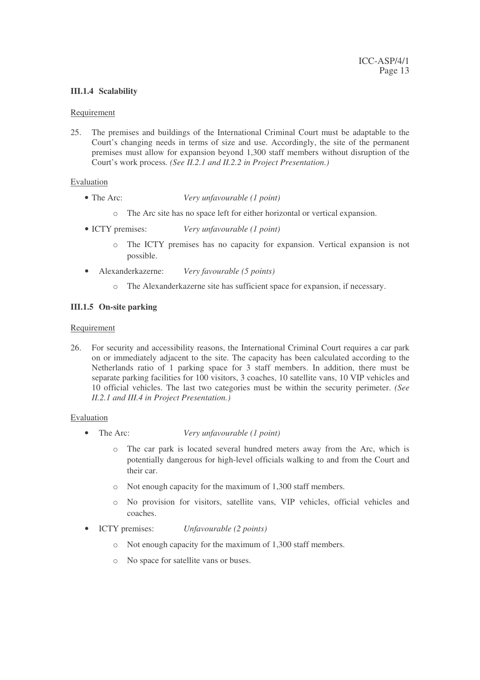## **III.1.4 Scalability**

#### Requirement

25. The premises and buildings of the International Criminal Court must be adaptable to the Court's changing needs in terms of size and use. Accordingly, the site of the permanent premises must allow for expansion beyond 1,300 staff members without disruption of the Court's work process*. (See II.2.1 and II.2.2 in Project Presentation.)*

#### Evaluation

- The Arc: *Very unfavourable (1 point)*
	- o The Arc site has no space left for either horizontal or vertical expansion.
- ICTY premises: *Very unfavourable (1 point)*
	- o The ICTY premises has no capacity for expansion. Vertical expansion is not possible.
- Alexanderkazerne: *Very favourable (5 points)*
	- o The Alexanderkazerne site has sufficient space for expansion, if necessary.

#### **III.1.5 On-site parking**

#### Requirement

26. For security and accessibility reasons, the International Criminal Court requires a car park on or immediately adjacent to the site. The capacity has been calculated according to the Netherlands ratio of 1 parking space for 3 staff members. In addition, there must be separate parking facilities for 100 visitors, 3 coaches, 10 satellite vans, 10 VIP vehicles and 10 official vehicles. The last two categories must be within the security perimeter. *(See II.2.1 and III.4 in Project Presentation.)*

- The Arc: *Very unfavourable (1 point)*
	- o The car park is located several hundred meters away from the Arc, which is potentially dangerous for high-level officials walking to and from the Court and their car.
	- o Not enough capacity for the maximum of 1,300 staff members.
	- o No provision for visitors, satellite vans, VIP vehicles, official vehicles and coaches.
- ICTY premises: *Unfavourable (2 points)*
	- o Not enough capacity for the maximum of 1,300 staff members.
	- o No space for satellite vans or buses.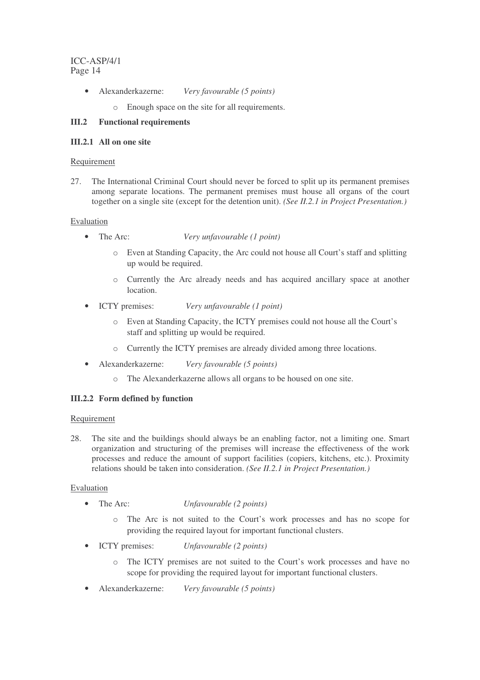- Alexanderkazerne: *Very favourable (5 points)*
	- o Enough space on the site for all requirements.

# **III.2 Functional requirements**

## **III.2.1 All on one site**

## Requirement

27. The International Criminal Court should never be forced to split up its permanent premises among separate locations. The permanent premises must house all organs of the court together on a single site (except for the detention unit). *(See II.2.1 in Project Presentation.)*

#### Evaluation

- The Arc: *Very unfavourable (1 point)*
	- o Even at Standing Capacity, the Arc could not house all Court's staff and splitting up would be required.
	- o Currently the Arc already needs and has acquired ancillary space at another location.
- ICTY premises: *Very unfavourable (1 point)*
	- o Even at Standing Capacity, the ICTY premises could not house all the Court's staff and splitting up would be required.
	- o Currently the ICTY premises are already divided among three locations.
	- Alexanderkazerne: *Very favourable (5 points)*
		- o The Alexanderkazerne allows all organs to be housed on one site.

## **III.2.2 Form defined by function**

#### Requirement

28. The site and the buildings should always be an enabling factor, not a limiting one. Smart organization and structuring of the premises will increase the effectiveness of the work processes and reduce the amount of support facilities (copiers, kitchens, etc.). Proximity relations should be taken into consideration. *(See II.2.1 in Project Presentation.)*

- The Arc: *Unfavourable (2 points)*
	- o The Arc is not suited to the Court's work processes and has no scope for providing the required layout for important functional clusters.
- ICTY premises: *Unfavourable (2 points)*
	- o The ICTY premises are not suited to the Court's work processes and have no scope for providing the required layout for important functional clusters.
- Alexanderkazerne: *Very favourable (5 points)*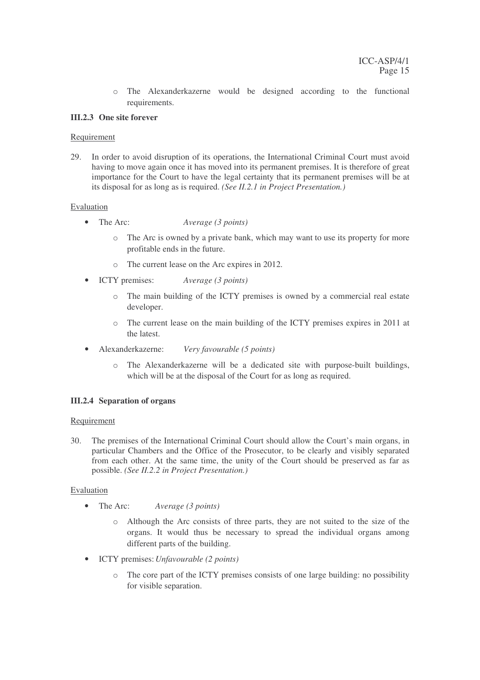o The Alexanderkazerne would be designed according to the functional requirements.

# **III.2.3 One site forever**

## Requirement

29. In order to avoid disruption of its operations, the International Criminal Court must avoid having to move again once it has moved into its permanent premises. It is therefore of great importance for the Court to have the legal certainty that its permanent premises will be at its disposal for as long as is required. *(See II.2.1 in Project Presentation.)*

# Evaluation

- The Arc: *Average (3 points)*
	- o The Arc is owned by a private bank, which may want to use its property for more profitable ends in the future.
	- o The current lease on the Arc expires in 2012.
- ICTY premises: *Average (3 points)*
	- o The main building of the ICTY premises is owned by a commercial real estate developer.
	- o The current lease on the main building of the ICTY premises expires in 2011 at the latest.
- Alexanderkazerne: *Very favourable (5 points)*
	- o The Alexanderkazerne will be a dedicated site with purpose-built buildings, which will be at the disposal of the Court for as long as required.

# **III.2.4 Separation of organs**

## Requirement

30. The premises of the International Criminal Court should allow the Court's main organs, in particular Chambers and the Office of the Prosecutor, to be clearly and visibly separated from each other. At the same time, the unity of the Court should be preserved as far as possible. *(See II.2.2 in Project Presentation.)*

- The Arc: *Average (3 points)*
	- o Although the Arc consists of three parts, they are not suited to the size of the organs. It would thus be necessary to spread the individual organs among different parts of the building.
- ICTY premises:*Unfavourable (2 points)*
	- o The core part of the ICTY premises consists of one large building: no possibility for visible separation.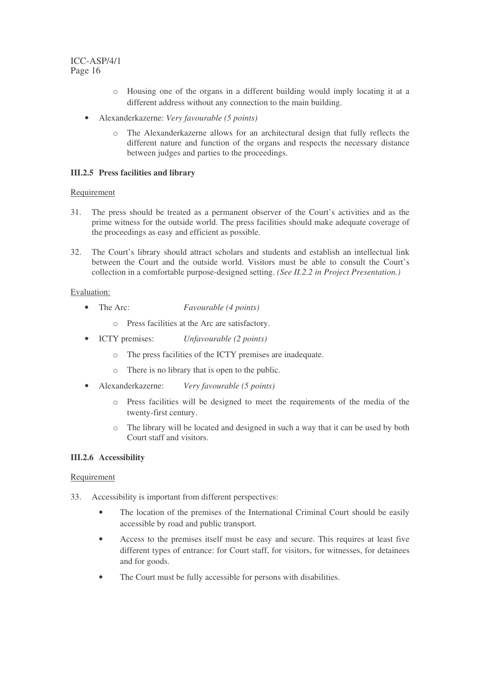- o Housing one of the organs in a different building would imply locating it at a different address without any connection to the main building.
- Alexanderkazerne: *Very favourable (5 points)*
	- o The Alexanderkazerne allows for an architectural design that fully reflects the different nature and function of the organs and respects the necessary distance between judges and parties to the proceedings.

# **III.2.5 Press facilities and library**

## Requirement

- 31. The press should be treated as a permanent observer of the Court's activities and as the prime witness for the outside world. The press facilities should make adequate coverage of the proceedings as easy and efficient as possible.
- 32. The Court's library should attract scholars and students and establish an intellectual link between the Court and the outside world. Visitors must be able to consult the Court's collection in a comfortable purpose-designed setting. *(See II.2.2 in Project Presentation.)*

## Evaluation:

- The Arc: *Favourable (4 points)*
	- o Press facilities at the Arc are satisfactory.
- ICTY premises: *Unfavourable (2 points)*
	- o The press facilities of the ICTY premises are inadequate.
	- o There is no library that is open to the public.
- Alexanderkazerne: *Very favourable (5 points)*
	- o Press facilities will be designed to meet the requirements of the media of the twenty-first century.
	- o The library will be located and designed in such a way that it can be used by both Court staff and visitors.

# **III.2.6 Accessibility**

## Requirement

- 33. Accessibility is important from different perspectives:
	- The location of the premises of the International Criminal Court should be easily accessible by road and public transport.
	- Access to the premises itself must be easy and secure. This requires at least five different types of entrance: for Court staff, for visitors, for witnesses, for detainees and for goods.
	- The Court must be fully accessible for persons with disabilities.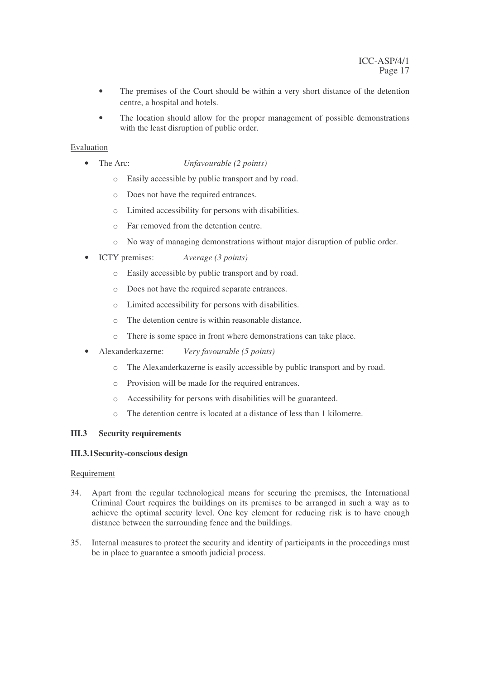- The premises of the Court should be within a very short distance of the detention centre, a hospital and hotels.
- The location should allow for the proper management of possible demonstrations with the least disruption of public order.

# Evaluation

- The Arc: *Unfavourable (2 points)*
	- o Easily accessible by public transport and by road.
	- o Does not have the required entrances.
	- o Limited accessibility for persons with disabilities.
	- o Far removed from the detention centre.
	- o No way of managing demonstrations without major disruption of public order.
- ICTY premises: *Average (3 points)*
	- o Easily accessible by public transport and by road.
	- o Does not have the required separate entrances.
	- o Limited accessibility for persons with disabilities.
	- o The detention centre is within reasonable distance.
	- o There is some space in front where demonstrations can take place.
- Alexanderkazerne: *Very favourable (5 points)*
	- o The Alexanderkazerne is easily accessible by public transport and by road.
	- o Provision will be made for the required entrances.
	- o Accessibility for persons with disabilities will be guaranteed.
	- o The detention centre is located at a distance of less than 1 kilometre.

## **III.3 Security requirements**

## **III.3.1Security-conscious design**

## Requirement

- 34. Apart from the regular technological means for securing the premises, the International Criminal Court requires the buildings on its premises to be arranged in such a way as to achieve the optimal security level. One key element for reducing risk is to have enough distance between the surrounding fence and the buildings.
- 35. Internal measures to protect the security and identity of participants in the proceedings must be in place to guarantee a smooth judicial process.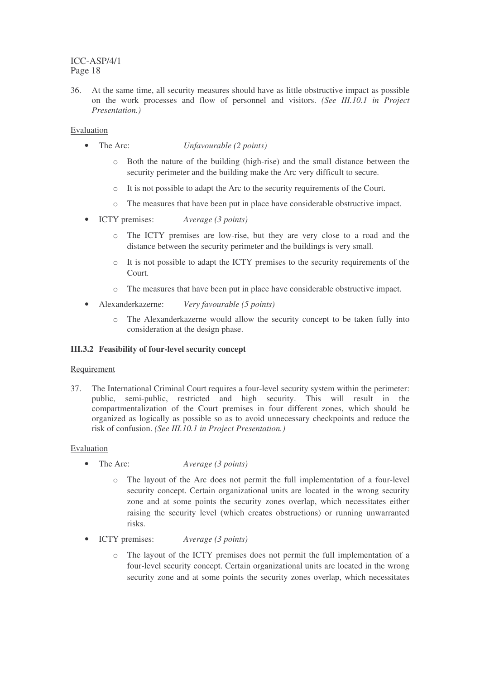36. At the same time, all security measures should have as little obstructive impact as possible on the work processes and flow of personnel and visitors. *(See III.10.1 in Project Presentation.)*

## Evaluation

- The Arc: *Unfavourable (2 points)*
	- o Both the nature of the building (high-rise) and the small distance between the security perimeter and the building make the Arc very difficult to secure.
	- o It is not possible to adapt the Arc to the security requirements of the Court.
	- o The measures that have been put in place have considerable obstructive impact.
- ICTY premises: *Average (3 points)*
	- o The ICTY premises are low-rise, but they are very close to a road and the distance between the security perimeter and the buildings is very small*.*
	- o It is not possible to adapt the ICTY premises to the security requirements of the Court.
	- o The measures that have been put in place have considerable obstructive impact.
- Alexanderkazerne: *Very favourable (5 points)*
	- o The Alexanderkazerne would allow the security concept to be taken fully into consideration at the design phase.

#### **III.3.2 Feasibility of four-level security concept**

#### Requirement

37. The International Criminal Court requires a four-level security system within the perimeter: public, semi-public, restricted and high security. This will result in the compartmentalization of the Court premises in four different zones, which should be organized as logically as possible so as to avoid unnecessary checkpoints and reduce the risk of confusion. *(See III.10.1 in Project Presentation.)*

- The Arc: *Average (3 points)*
	- o The layout of the Arc does not permit the full implementation of a four-level security concept. Certain organizational units are located in the wrong security zone and at some points the security zones overlap, which necessitates either raising the security level (which creates obstructions) or running unwarranted risks.
- ICTY premises: *Average (3 points)*
	- The layout of the ICTY premises does not permit the full implementation of a four-level security concept. Certain organizational units are located in the wrong security zone and at some points the security zones overlap, which necessitates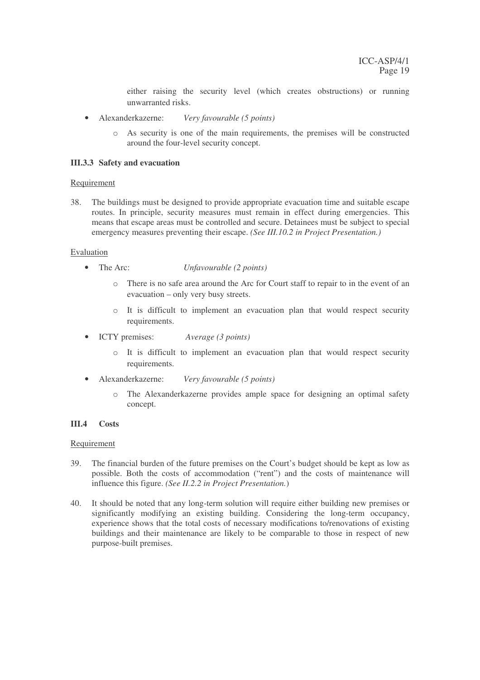either raising the security level (which creates obstructions) or running unwarranted risks.

- Alexanderkazerne: *Very favourable (5 points)*
	- o As security is one of the main requirements, the premises will be constructed around the four-level security concept.

#### **III.3.3 Safety and evacuation**

#### Requirement

38. The buildings must be designed to provide appropriate evacuation time and suitable escape routes. In principle, security measures must remain in effect during emergencies. This means that escape areas must be controlled and secure. Detainees must be subject to special emergency measures preventing their escape. *(See III.10.2 in Project Presentation.)*

#### Evaluation

- The Arc: *Unfavourable (2 points)*
	- o There is no safe area around the Arc for Court staff to repair to in the event of an evacuation – only very busy streets.
	- $\circ$  It is difficult to implement an evacuation plan that would respect security requirements.
- ICTY premises: *Average (3 points)*
	- o It is difficult to implement an evacuation plan that would respect security requirements.
- Alexanderkazerne: *Very favourable (5 points)*
	- o The Alexanderkazerne provides ample space for designing an optimal safety concept.

#### **III.4 Costs**

#### Requirement

- 39. The financial burden of the future premises on the Court's budget should be kept as low as possible. Both the costs of accommodation ("rent") and the costs of maintenance will influence this figure. *(See II.2.2 in Project Presentation.*)
- 40. It should be noted that any long-term solution will require either building new premises or significantly modifying an existing building. Considering the long-term occupancy, experience shows that the total costs of necessary modifications to/renovations of existing buildings and their maintenance are likely to be comparable to those in respect of new purpose-built premises.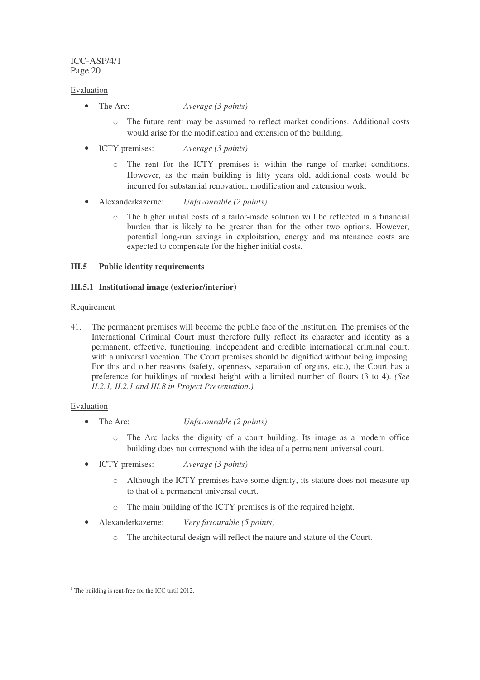## Evaluation

- The Arc: *Average (3 points)*
	- o The future rent <sup>1</sup> may be assumed to reflect market conditions. Additional costs would arise for the modification and extension of the building.
- ICTY premises: *Average (3 points)*
	- o The rent for the ICTY premises is within the range of market conditions. However, as the main building is fifty years old, additional costs would be incurred for substantial renovation, modification and extension work.
- Alexanderkazerne: *Unfavourable (2 points)*
	- o The higher initial costs of a tailor-made solution will be reflected in a financial burden that is likely to be greater than for the other two options. However, potential long-run savings in exploitation, energy and maintenance costs are expected to compensate for the higher initial costs.

## **III.5 Public identity requirements**

# **III.5.1 Institutional image (exterior/interior)**

## Requirement

41. The permanent premises will become the public face of the institution. The premises of the International Criminal Court must therefore fully reflect its character and identity as a permanent, effective, functioning, independent and credible international criminal court, with a universal vocation. The Court premises should be dignified without being imposing. For this and other reasons (safety, openness, separation of organs, etc.), the Court has a preference for buildings of modest height with a limited number of floors (3 to 4). *(See II.2.1, II.2.1 and III.8 in Project Presentation.)*

- The Arc: *Unfavourable (2 points)*
	- o The Arc lacks the dignity of a court building. Its image as a modern office building does not correspond with the idea of a permanent universal court.
- ICTY premises: *Average (3 points)*
	- o Although the ICTY premises have some dignity, its stature does not measure up to that of a permanent universal court.
	- o The main building of the ICTY premises is of the required height.
- Alexanderkazerne: *Very favourable (5 points)*
	- o The architectural design will reflect the nature and stature of the Court.

 $1$ <sup>1</sup> The building is rent-free for the ICC until 2012.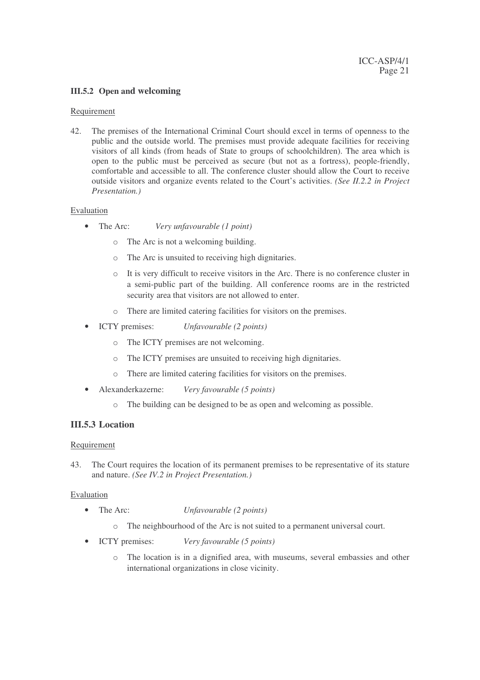## **III.5.2 Open and welcoming**

#### Requirement

42. The premises of the International Criminal Court should excel in terms of openness to the public and the outside world. The premises must provide adequate facilities for receiving visitors of all kinds (from heads of State to groups of schoolchildren). The area which is open to the public must be perceived as secure (but not as a fortress), people-friendly, comfortable and accessible to all. The conference cluster should allow the Court to receive outside visitors and organize events related to the Court's activities. *(See II.2.2 in Project Presentation.)*

#### Evaluation

- The Arc: *Very unfavourable (1 point)*
	- o The Arc is not a welcoming building.
	- o The Arc is unsuited to receiving high dignitaries.
	- o It is very difficult to receive visitors in the Arc. There is no conference cluster in a semi-public part of the building. All conference rooms are in the restricted security area that visitors are not allowed to enter.
	- o There are limited catering facilities for visitors on the premises.
- ICTY premises: *Unfavourable (2 points)*
	- o The ICTY premises are not welcoming.
	- o The ICTY premises are unsuited to receiving high dignitaries.
	- o There are limited catering facilities for visitors on the premises.
- Alexanderkazerne: *Very favourable (5 points)*
	- o The building can be designed to be as open and welcoming as possible.

## **III.5.3 Location**

#### **Requirement**

43. The Court requires the location of its permanent premises to be representative of its stature and nature. *(See IV.2 in Project Presentation.)*

- The Arc: *Unfavourable (2 points)*
	- o The neighbourhood of the Arc is not suited to a permanent universal court.
- ICTY premises: *Very favourable (5 points)*
	- o The location is in a dignified area, with museums, several embassies and other international organizations in close vicinity.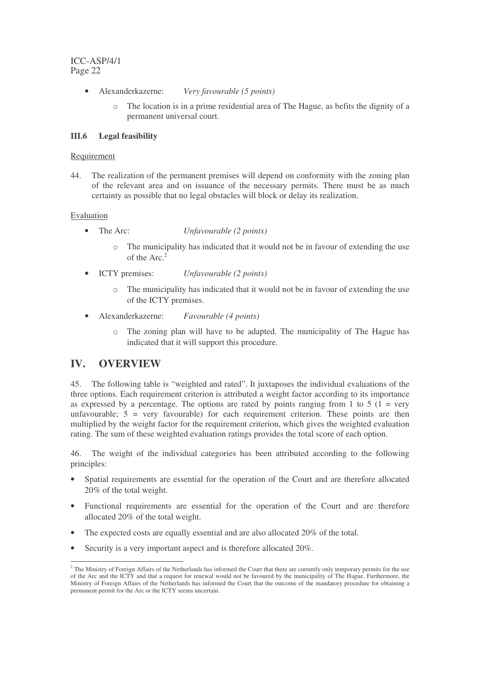- Alexanderkazerne: *Very favourable (5 points)*
	- The location is in a prime residential area of The Hague, as befits the dignity of a permanent universal court.

## **III.6 Legal feasibility**

#### Requirement

44. The realization of the permanent premises will depend on conformity with the zoning plan of the relevant area and on issuance of the necessary permits. There must be as much certainty as possible that no legal obstacles will block or delay its realization.

#### Evaluation

- The Arc: *Unfavourable (2 points)*
	- $\circ$  The municipality has indicated that it would not be in favour of extending the use of the Arc. 2
- ICTY premises: *Unfavourable (2 points)*
	- o The municipality has indicated that it would not be in favour of extending the use of the ICTY premises.
- Alexanderkazerne: *Favourable (4 points)*
	- o The zoning plan will have to be adapted. The municipality of The Hague has indicated that it will support this procedure.

# **IV. OVERVIEW**

45. The following table is "weighted and rated". It juxtaposes the individual evaluations of the three options. Each requirement criterion is attributed a weight factor according to its importance as expressed by a percentage. The options are rated by points ranging from 1 to 5 ( $1 = \text{very}$ ) unfavourable;  $5 = \text{very favourable}$  for each requirement criterion. These points are then multiplied by the weight factor for the requirement criterion, which gives the weighted evaluation rating. The sum of these weighted evaluation ratings provides the total score of each option.

46. The weight of the individual categories has been attributed according to the following principles:

- Spatial requirements are essential for the operation of the Court and are therefore allocated 20% of the total weight.
- Functional requirements are essential for the operation of the Court and are therefore allocated 20% of the total weight.
- The expected costs are equally essential and are also allocated 20% of the total.
- Security is a very important aspect and is therefore allocated 20%.

<sup>&</sup>lt;sup>2</sup> The Ministry of Foreign Affairs of the Netherlands has informed the Court that there are currently only temporary permits for the use of the Arc and the ICTY and that a request for renewal would not be favoured by the municipality of The Hague. Furthermore, the Ministry of Foreign Affairs of the Netherlands has informed the Court that the outcome of the mandatory procedure for obtaining a permanent permit for the Arc or the ICTY seems uncertain.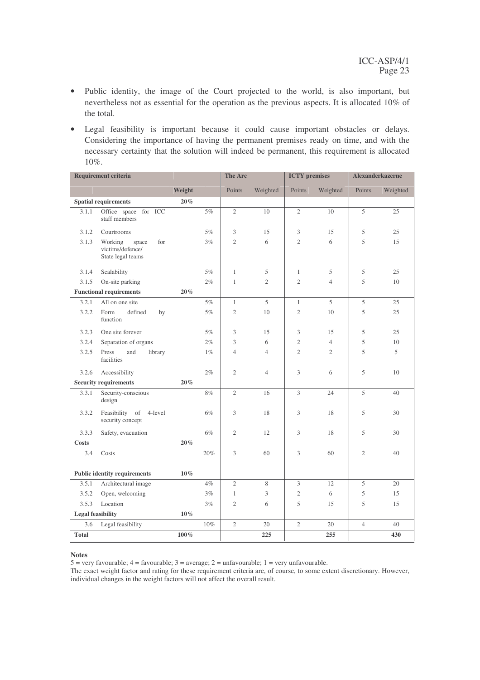- Public identity, the image of the Court projected to the world, is also important, but nevertheless not as essential for the operation as the previous aspects. It is allocated 10% of the total.
- Legal feasibility is important because it could cause important obstacles or delays. Considering the importance of having the permanent premises ready on time, and with the necessary certainty that the solution will indeed be permanent, this requirement is allocated 10%.

| <b>Requirement criteria</b>                   |                                                                  | The Arc |       | <b>ICTY</b> premises |                | <b>Alexanderkazerne</b> |                |                |          |
|-----------------------------------------------|------------------------------------------------------------------|---------|-------|----------------------|----------------|-------------------------|----------------|----------------|----------|
|                                               |                                                                  | Weight  |       | Points               | Weighted       | Points                  | Weighted       | Points         | Weighted |
| <b>Spatial requirements</b><br>$20\%$         |                                                                  |         |       |                      |                |                         |                |                |          |
| 3.1.1                                         | Office space for ICC<br>staff members                            |         | $5\%$ | $\overline{2}$       | 10             | $\overline{2}$          | 10             | 5              | 25       |
| 3.1.2                                         | Courtrooms                                                       |         | 5%    | 3                    | 15             | 3                       | 15             | 5              | 25       |
| 3.1.3                                         | Working<br>for<br>space<br>victims/defence/<br>State legal teams |         | $3\%$ | $\overline{2}$       | 6              | $\overline{2}$          | 6              | 5              | 15       |
| 3.1.4                                         | Scalability                                                      |         | 5%    | $\mathbf{1}$         | 5              | $\mathbf{1}$            | 5              | 5              | 25       |
| 3.1.5                                         | On-site parking                                                  |         | 2%    | $\mathbf{1}$         | $\overline{c}$ | $\overline{c}$          | $\overline{4}$ | 5              | 10       |
| <b>Functional requirements</b><br>$20\%$      |                                                                  |         |       |                      |                |                         |                |                |          |
| 3.2.1                                         | All on one site                                                  |         | 5%    | $\mathbf{1}$         | 5              | $\mathbf{1}$            | 5              | 5              | 25       |
| 3.2.2                                         | Form<br>defined<br>by<br>function                                |         | 5%    | $\mathfrak{2}$       | 10             | $\overline{2}$          | 10             | 5              | 25       |
| 3.2.3                                         | One site forever                                                 |         | 5%    | 3                    | 15             | 3                       | 15             | 5              | 25       |
| 3.2.4                                         | Separation of organs                                             |         | 2%    | 3                    | 6              | $\overline{2}$          | $\overline{4}$ | 5              | 10       |
| 3.2.5                                         | Press<br>and<br>library<br>facilities                            |         | $1\%$ | $\overline{4}$       | $\overline{4}$ | $\overline{2}$          | $\overline{2}$ | 5              | 5        |
| 3.2.6                                         | Accessibility                                                    |         | 2%    | $\overline{2}$       | $\overline{4}$ | 3                       | 6              | 5              | 10       |
| <b>Security requirements</b><br>$20\%$        |                                                                  |         |       |                      |                |                         |                |                |          |
| 3.3.1                                         | Security-conscious<br>design                                     |         | 8%    | $\overline{2}$       | 16             | 3                       | 24             | 5              | 40       |
| 3.3.2                                         | of 4-level<br>Feasibility<br>security concept                    |         | 6%    | 3                    | 18             | 3                       | 18             | 5              | 30       |
| 3.3.3                                         | Safety, evacuation                                               |         | 6%    | $\overline{c}$       | 12             | 3                       | 18             | 5              | 30       |
| <b>Costs</b>                                  |                                                                  | $20\%$  |       |                      |                |                         |                |                |          |
| 3.4                                           | Costs                                                            |         | 20%   | 3                    | 60             | $\mathfrak{Z}$          | 60             | $\overline{2}$ | 40       |
| <b>Public identity requirements</b><br>$10\%$ |                                                                  |         |       |                      |                |                         |                |                |          |
| 3.5.1                                         | Architectural image                                              |         | 4%    | $\overline{2}$       | 8              | 3                       | 12             | 5              | 20       |
| 3.5.2                                         | Open, welcoming                                                  |         | 3%    | $\mathbf{1}$         | 3              | $\overline{2}$          | 6              | 5              | 15       |
| 3.5.3                                         | Location                                                         |         | 3%    | $\overline{2}$       | 6              | 5                       | 15             | 5              | 15       |
| <b>Legal feasibility</b><br>$10\%$            |                                                                  |         |       |                      |                |                         |                |                |          |
| 3.6                                           | Legal feasibility                                                |         | 10%   | $\overline{2}$       | 20             | $\overline{2}$          | 20             | $\overline{4}$ | 40       |
| <b>Total</b>                                  |                                                                  | $100\%$ |       |                      | 225            |                         | 255            |                | 430      |

#### **Notes**

5 = very favourable;  $4 =$  favourable;  $3 =$  average;  $2 =$  unfavourable;  $1 =$  very unfavourable.

The exact weight factor and rating for these requirement criteria are, of course, to some extent discretionary. However, individual changes in the weight factors will not affect the overall result.